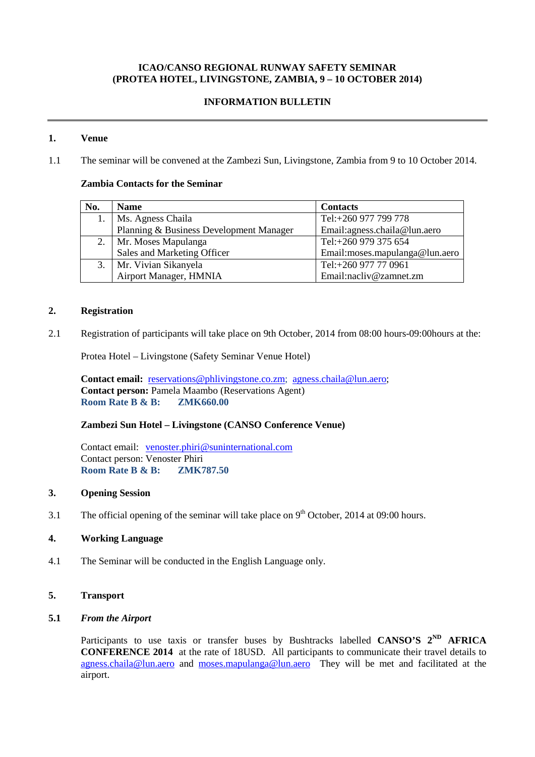# **ICAO/CANSO REGIONAL RUNWAY SAFETY SEMINAR (PROTEA HOTEL, LIVINGSTONE, ZAMBIA, 9 – 10 OCTOBER 2014)**

## **INFORMATION BULLETIN**

## **1. Venue**

1.1 The seminar will be convened at the Zambezi Sun, Livingstone, Zambia from 9 to 10 October 2014.

## **Zambia Contacts for the Seminar**

| No. | <b>Name</b>                             | <b>Contacts</b>                 |
|-----|-----------------------------------------|---------------------------------|
|     | Ms. Agness Chaila                       | Tel:+260 977 799 778            |
|     | Planning & Business Development Manager | Email: agness.chaila@lun.aero   |
|     | Mr. Moses Mapulanga                     | Tel:+260 979 375 654            |
|     | Sales and Marketing Officer             | Email: moses.mapulanga@lun.aero |
|     | Mr. Vivian Sikanyela                    | Tel:+260 977 77 0961            |
|     | Airport Manager, HMNIA                  | Email:nacliv@zamnet.zm          |

### **2. Registration**

2.1 Registration of participants will take place on 9th October, 2014 from 08:00 hours-09:00hours at the:

Protea Hotel – Livingstone (Safety Seminar Venue Hotel)

**Contact email:** [reservations@phlivingstone.co.zm;](mailto:reservations@phlivingstone.co.zm) [agness.chaila@lun.aero;](mailto:agness.chaila@lun.aero) **Contact person:** Pamela Maambo (Reservations Agent) **Room Rate B & B: ZMK660.00**

## **Zambezi Sun Hotel – Livingstone (CANSO Conference Venue)**

Contact email: [venoster.phiri@suninternational.com](mailto:venoster.phiri@suninternational.com) Contact person: Venoster Phiri **Room Rate B & B: ZMK787.50**

## **3. Opening Session**

3.1 The official opening of the seminar will take place on  $9<sup>th</sup>$  October, 2014 at 09:00 hours.

## **4. Working Language**

4.1 The Seminar will be conducted in the English Language only.

# **5. Transport**

## **5.1** *From the Airport*

Participants to use taxis or transfer buses by Bushtracks labelled **CANSO'S**  $2^{ND}$  **AFRICA CONFERENCE 2014** at the rate of 18USD. All participants to communicate their travel details to [agness.chaila@lun.aero](mailto:agness.chaila@lun.aero) and [moses.mapulanga@lun.aero](mailto:moses.mapulanga@lun.aero) They will be met and facilitated at the airport.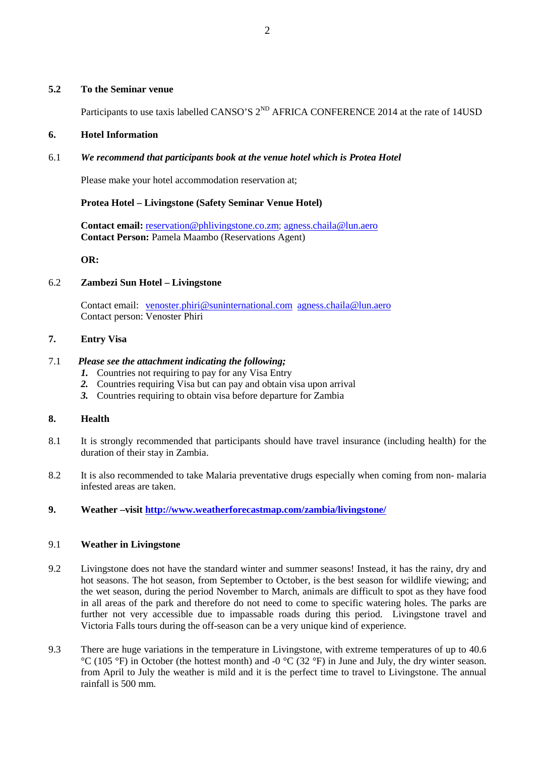### **5.2 To the Seminar venue**

Participants to use taxis labelled CANSO'S  $2^{ND}$  AFRICA CONFERENCE 2014 at the rate of 14USD

#### **6. Hotel Information**

### 6.1 *We recommend that participants book at the venue hotel which is Protea Hotel*

Please make your hotel accommodation reservation at;

#### **Protea Hotel – Livingstone (Safety Seminar Venue Hotel)**

**Contact email:** [reservation@phlivingstone.co.zm;](mailto:reservation@phlivingstone.co.zm) [agness.chaila@lun.aero](mailto:agness.chaila@lun.aero) **Contact Person:** Pamela Maambo (Reservations Agent)

**OR:**

#### 6.2 **Zambezi Sun Hotel – Livingstone**

Contact email: [venoster.phiri@suninternational.com](mailto:venoster.phiri@suninternational.com) [agness.chaila@lun.aero](mailto:agness.chaila@lun.aero)  Contact person: Venoster Phiri

#### **7. Entry Visa**

### 7.1 *Please see the attachment indicating the following;*

- *1.* Countries not requiring to pay for any Visa Entry
- *2.* Countries requiring Visa but can pay and obtain visa upon arrival
- *3.* Countries requiring to obtain visa before departure for Zambia

#### **8. Health**

- 8.1 It is strongly recommended that participants should have travel insurance (including health) for the duration of their stay in Zambia.
- 8.2 It is also recommended to take Malaria preventative drugs especially when coming from non- malaria infested areas are taken.
- **9. Weather –visit<http://www.weatherforecastmap.com/zambia/livingstone/>**

#### 9.1 **Weather in Livingstone**

- 9.2 Livingstone does not have the standard winter and summer seasons! Instead, it has the rainy, dry and hot seasons. The hot season, from September to October, is the best season for wildlife viewing; and the wet season, during the period November to March, animals are difficult to spot as they have food in all areas of the park and therefore do not need to come to specific watering holes. The parks are further not very accessible due to impassable roads during this period. Livingstone travel and Victoria Falls tours during the off-season can be a very unique kind of experience.
- 9.3 There are huge variations in the temperature in Livingstone, with extreme temperatures of up to 40.6 °C (105 °F) in October (the hottest month) and -0 °C (32 °F) in June and July, the dry winter season. from April to July the weather is mild and it is the perfect time to travel to Livingstone. The annual rainfall is 500 mm.